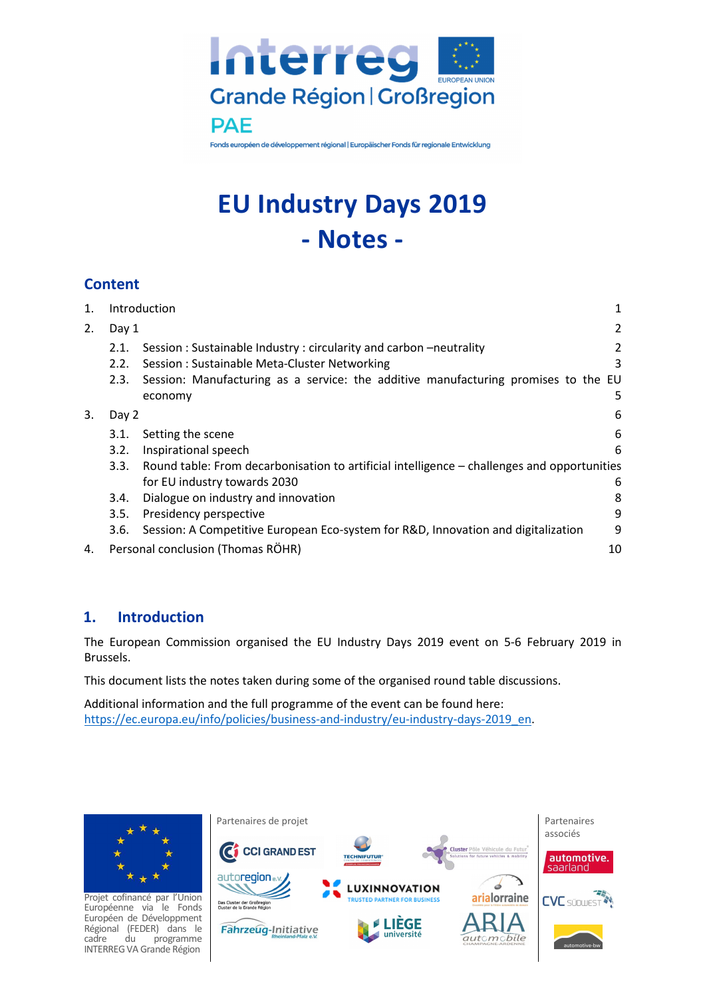

Fonds européen de développement régional | Europäischer Fonds für regionale Entwicklung

# **EU Industry Days 2019 - Notes -**

## **Content**

| 1. | Introduction |                                                                                             | 1  |
|----|--------------|---------------------------------------------------------------------------------------------|----|
| 2. | Day 1        |                                                                                             | 2  |
|    | 2.1.         | Session: Sustainable Industry: circularity and carbon-neutrality                            | 2  |
|    | 2.2.         | Session: Sustainable Meta-Cluster Networking                                                | 3  |
|    | 2.3.         | Session: Manufacturing as a service: the additive manufacturing promises to the EU          |    |
|    |              | economy                                                                                     | 5  |
| 3. | Day 2        |                                                                                             | 6  |
|    | 3.1.         | Setting the scene                                                                           | 6  |
|    | 3.2.         | Inspirational speech                                                                        | 6  |
|    | 3.3.         | Round table: From decarbonisation to artificial intelligence - challenges and opportunities |    |
|    |              | for EU industry towards 2030                                                                | 6  |
|    | 3.4.         | Dialogue on industry and innovation                                                         | 8  |
|    | 3.5.         | Presidency perspective                                                                      | 9  |
|    | 3.6.         | Session: A Competitive European Eco-system for R&D, Innovation and digitalization           | 9  |
| 4. |              | Personal conclusion (Thomas RÖHR)                                                           | 10 |

## **1. Introduction**

The European Commission organised the EU Industry Days 2019 event on 5-6 February 2019 in Brussels.

This document lists the notes taken during some of the organised round table discussions.

Additional information and the full programme of the event can be found here: https://ec.europa.eu/info/policies/business-and-industry/eu-industry-days-2019\_en.

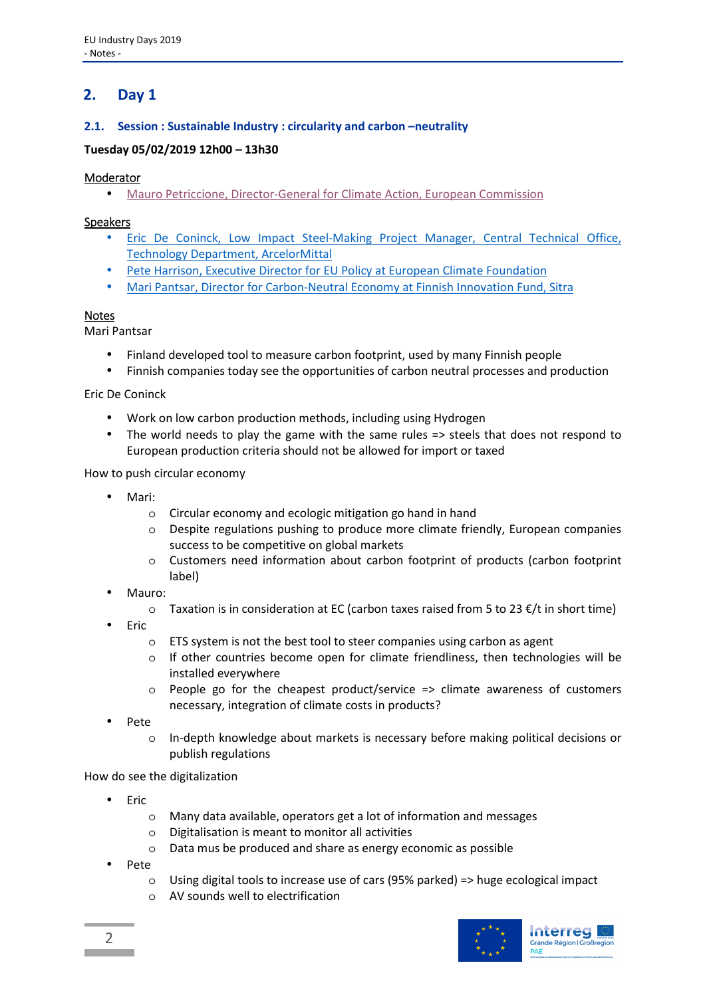## **2. Day 1**

### **2.1. Session : Sustainable Industry : circularity and carbon –neutrality**

#### **Tuesday 05/02/2019 12h00 – 13h30**

#### Moderator

• Mauro Petriccione, Director-General for Climate Action, European Commission

#### Speakers

- Eric De Coninck, Low Impact Steel-Making Project Manager, Central Technical Office, Technology Department, ArcelorMittal
- Pete Harrison, Executive Director for EU Policy at European Climate Foundation
- Mari Pantsar, Director for Carbon-Neutral Economy at Finnish Innovation Fund, Sitra

#### Notes

Mari Pantsar

- Finland developed tool to measure carbon footprint, used by many Finnish people
- Finnish companies today see the opportunities of carbon neutral processes and production

Eric De Coninck

- Work on low carbon production methods, including using Hydrogen
- The world needs to play the game with the same rules => steels that does not respond to European production criteria should not be allowed for import or taxed

#### How to push circular economy

- Mari:
	- o Circular economy and ecologic mitigation go hand in hand
	- o Despite regulations pushing to produce more climate friendly, European companies success to be competitive on global markets
	- o Customers need information about carbon footprint of products (carbon footprint label)
- Mauro:
	- $\circ$  Taxation is in consideration at EC (carbon taxes raised from 5 to 23  $\epsilon$ /t in short time)
- Eric
	- o ETS system is not the best tool to steer companies using carbon as agent
	- $\circ$  If other countries become open for climate friendliness, then technologies will be installed everywhere
	- $\circ$  People go for the cheapest product/service => climate awareness of customers necessary, integration of climate costs in products?
- Pete
	- o In-depth knowledge about markets is necessary before making political decisions or publish regulations

How do see the digitalization

- Eric
	- o Many data available, operators get a lot of information and messages
	- o Digitalisation is meant to monitor all activities
	- o Data mus be produced and share as energy economic as possible
- Pete
	- $\circ$  Using digital tools to increase use of cars (95% parked) => huge ecological impact
	- o AV sounds well to electrification

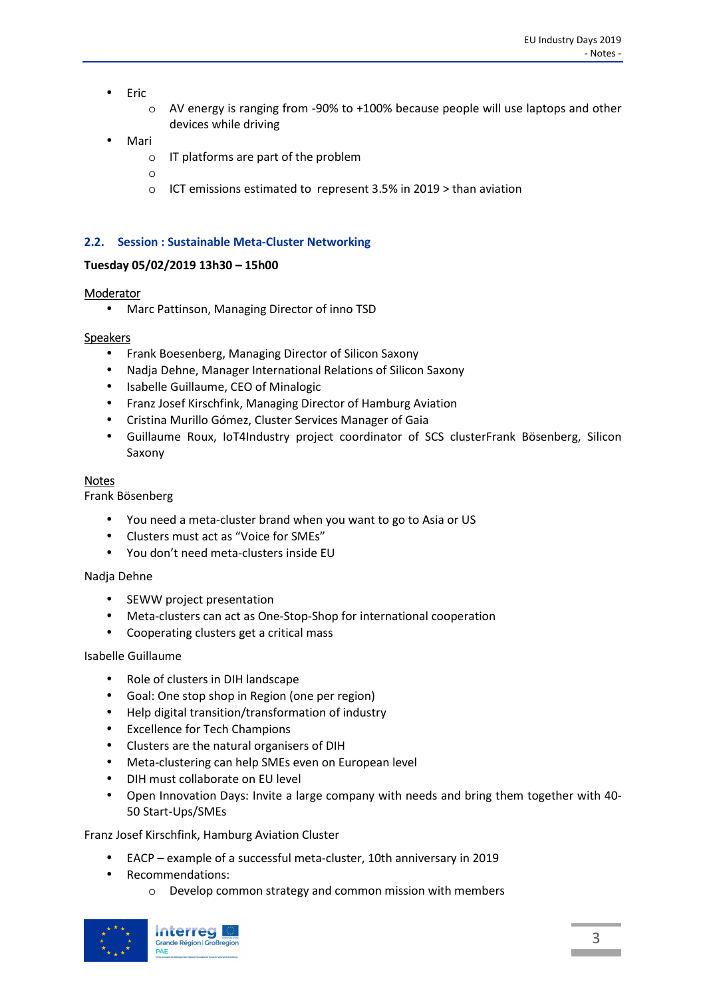- Eric
	- o AV energy is ranging from -90% to +100% because people will use laptops and other devices while driving
- Mari
	- o IT platforms are part of the problem
	- o
	- o ICT emissions estimated to represent 3.5% in 2019 > than aviation

#### **2.2. Session : Sustainable Meta-Cluster Networking**

#### **Tuesday 05/02/2019 13h30 – 15h00**

#### Moderator

• Marc Pattinson, Managing Director of inno TSD

#### Speakers

- Frank Boesenberg, Managing Director of Silicon Saxony
- Nadja Dehne, Manager International Relations of Silicon Saxony
- Isabelle Guillaume, CEO of Minalogic
- Franz Josef Kirschfink, Managing Director of Hamburg Aviation
- Cristina Murillo Gómez, Cluster Services Manager of Gaia
- Guillaume Roux, IoT4Industry project coordinator of SCS clusterFrank Bösenberg, Silicon Saxony

#### Notes

Frank Bösenberg

- You need a meta-cluster brand when you want to go to Asia or US
- Clusters must act as "Voice for SMEs"
- You don't need meta-clusters inside EU

#### Nadja Dehne

- SEWW project presentation
- Meta-clusters can act as One-Stop-Shop for international cooperation
- Cooperating clusters get a critical mass

#### Isabelle Guillaume

- Role of clusters in DIH landscape
- Goal: One stop shop in Region (one per region)
- Help digital transition/transformation of industry
- Excellence for Tech Champions
- Clusters are the natural organisers of DIH
- Meta-clustering can help SMEs even on European level
- DIH must collaborate on EU level
- Open Innovation Days: Invite a large company with needs and bring them together with 40- 50 Start-Ups/SMEs

Franz Josef Kirschfink, Hamburg Aviation Cluster

- EACP example of a successful meta-cluster, 10th anniversary in 2019
- Recommendations:
	- o Develop common strategy and common mission with members

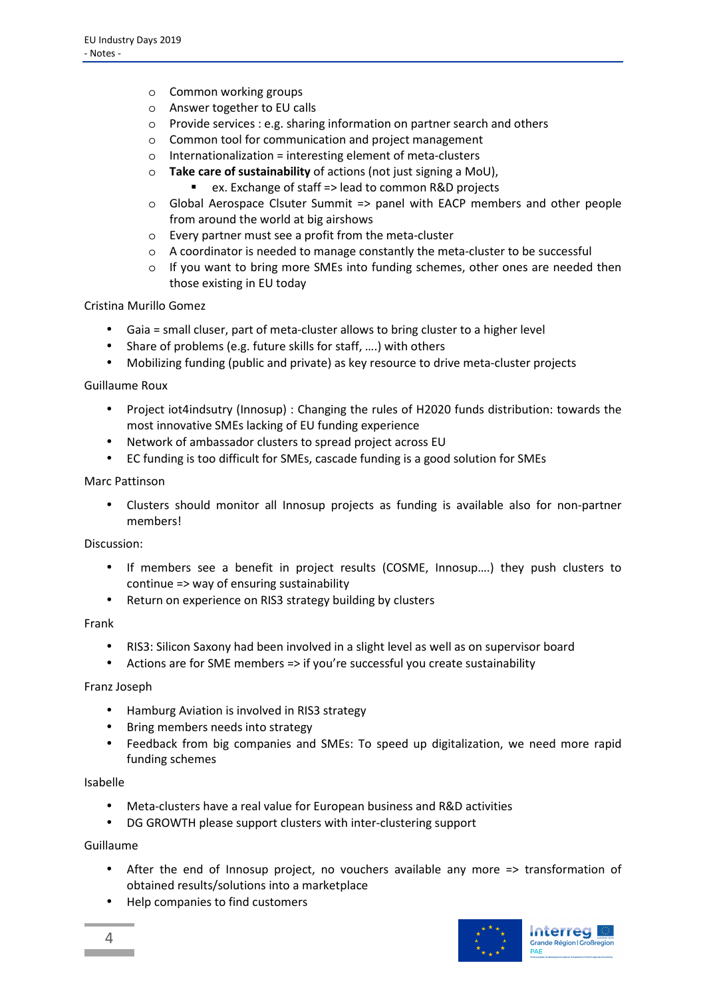- o Common working groups
- o Answer together to EU calls
- o Provide services : e.g. sharing information on partner search and others
- o Common tool for communication and project management
- $\circ$  Internationalization = interesting element of meta-clusters
- Take care of sustainability of actions (not just signing a MoU),
	- ex. Exchange of staff => lead to common R&D projects
- o Global Aerospace Clsuter Summit => panel with EACP members and other people from around the world at big airshows
- o Every partner must see a profit from the meta-cluster
- o A coordinator is needed to manage constantly the meta-cluster to be successful
- $\circ$  If you want to bring more SMEs into funding schemes, other ones are needed then those existing in EU today

Cristina Murillo Gomez

- Gaia = small cluser, part of meta-cluster allows to bring cluster to a higher level
- Share of problems (e.g. future skills for staff, ….) with others
- Mobilizing funding (public and private) as key resource to drive meta-cluster projects

Guillaume Roux

- Project iot4indsutry (Innosup) : Changing the rules of H2020 funds distribution: towards the most innovative SMEs lacking of EU funding experience
- Network of ambassador clusters to spread project across EU
- EC funding is too difficult for SMEs, cascade funding is a good solution for SMEs

#### Marc Pattinson

• Clusters should monitor all Innosup projects as funding is available also for non-partner members!

Discussion:

- If members see a benefit in project results (COSME, Innosup….) they push clusters to continue => way of ensuring sustainability
- Return on experience on RIS3 strategy building by clusters

Frank

- RIS3: Silicon Saxony had been involved in a slight level as well as on supervisor board
- Actions are for SME members => if you're successful you create sustainability

#### Franz Joseph

- Hamburg Aviation is involved in RIS3 strategy
- Bring members needs into strategy
- Feedback from big companies and SMEs: To speed up digitalization, we need more rapid funding schemes

#### Isabelle

- Meta-clusters have a real value for European business and R&D activities
- DG GROWTH please support clusters with inter-clustering support

#### Guillaume

- After the end of Innosup project, no vouchers available any more => transformation of obtained results/solutions into a marketplace
- Help companies to find customers

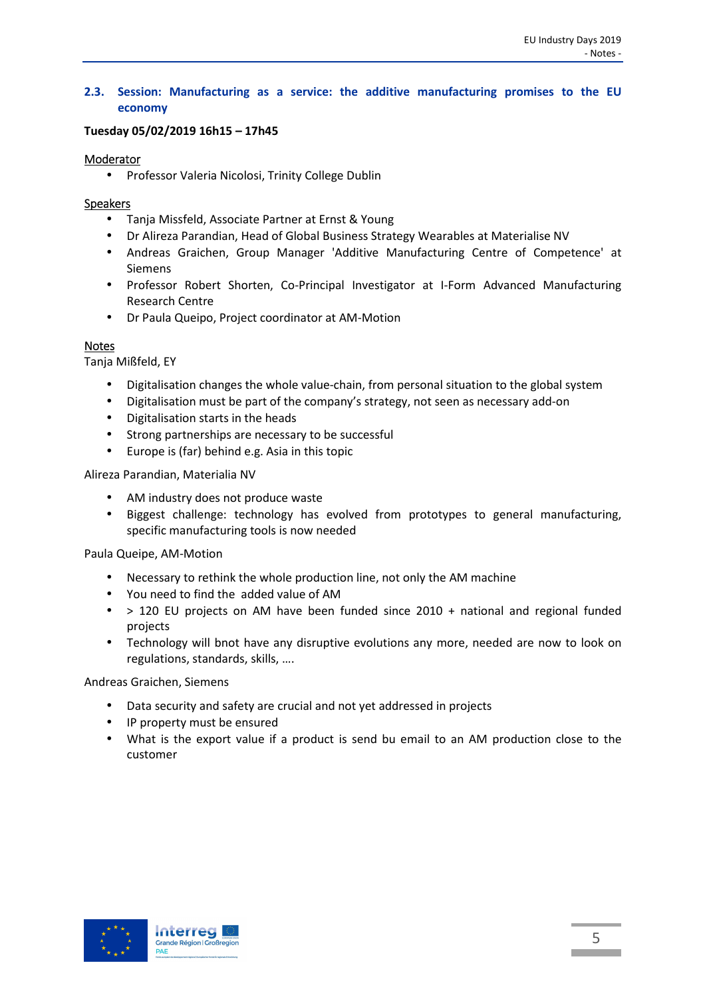#### **2.3. Session: Manufacturing as a service: the additive manufacturing promises to the EU economy**

#### **Tuesday 05/02/2019 16h15 – 17h45**

#### Moderator

• Professor Valeria Nicolosi, Trinity College Dublin

#### Speakers

- Tanja Missfeld, Associate Partner at Ernst & Young
- Dr Alireza Parandian, Head of Global Business Strategy Wearables at Materialise NV
- Andreas Graichen, Group Manager 'Additive Manufacturing Centre of Competence' at Siemens
- Professor Robert Shorten, Co-Principal Investigator at I-Form Advanced Manufacturing Research Centre
- Dr Paula Queipo, Project coordinator at AM-Motion

#### **Notes**

Tanja Mißfeld, EY

- Digitalisation changes the whole value-chain, from personal situation to the global system
- Digitalisation must be part of the company's strategy, not seen as necessary add-on
- Digitalisation starts in the heads
- Strong partnerships are necessary to be successful
- Europe is (far) behind e.g. Asia in this topic

Alireza Parandian, Materialia NV

- AM industry does not produce waste
- Biggest challenge: technology has evolved from prototypes to general manufacturing, specific manufacturing tools is now needed

Paula Queipe, AM-Motion

- Necessary to rethink the whole production line, not only the AM machine
- You need to find the added value of AM
- > 120 EU projects on AM have been funded since 2010 + national and regional funded projects
- Technology will bnot have any disruptive evolutions any more, needed are now to look on regulations, standards, skills, ….

Andreas Graichen, Siemens

- Data security and safety are crucial and not yet addressed in projects
- IP property must be ensured
- What is the export value if a product is send bu email to an AM production close to the customer

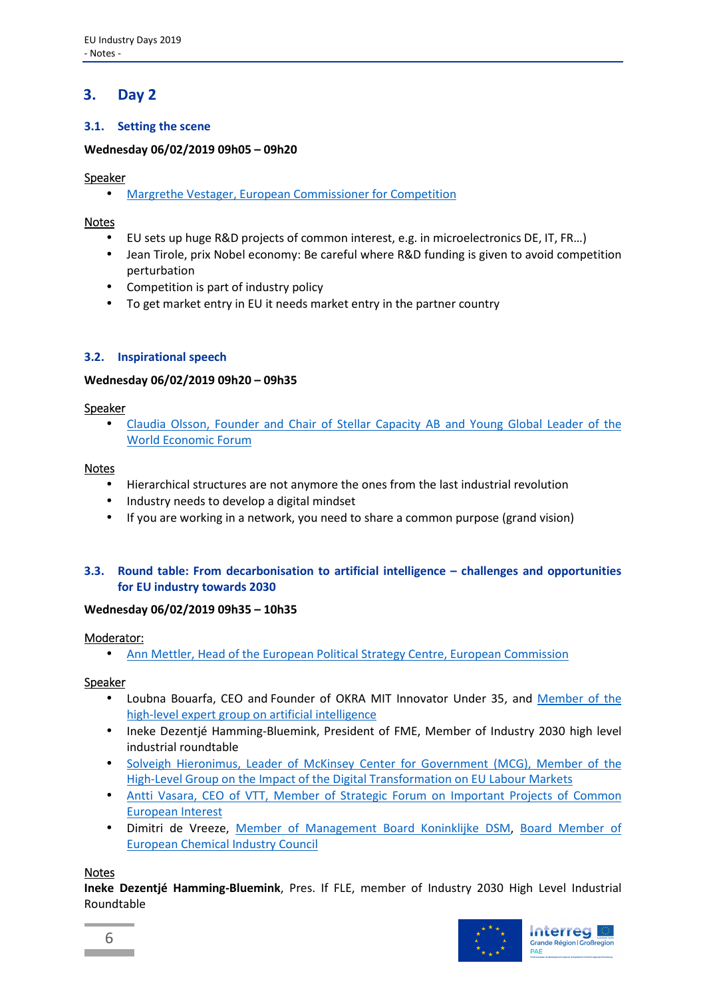## **3. Day 2**

## **3.1. Setting the scene**

#### **Wednesday 06/02/2019 09h05 – 09h20**

#### Speaker

• Margrethe Vestager, European Commissioner for Competition

#### Notes

- EU sets up huge R&D projects of common interest, e.g. in microelectronics DE, IT, FR…)
- Jean Tirole, prix Nobel economy: Be careful where R&D funding is given to avoid competition perturbation
- Competition is part of industry policy
- To get market entry in EU it needs market entry in the partner country

#### **3.2. Inspirational speech**

#### **Wednesday 06/02/2019 09h20 – 09h35**

#### Speaker

• Claudia Olsson, Founder and Chair of Stellar Capacity AB and Young Global Leader of the World Economic Forum

#### **Notes**

- Hierarchical structures are not anymore the ones from the last industrial revolution
- Industry needs to develop a digital mindset
- If you are working in a network, you need to share a common purpose (grand vision)

#### **3.3. Round table: From decarbonisation to artificial intelligence – challenges and opportunities for EU industry towards 2030**

#### **Wednesday 06/02/2019 09h35 – 10h35**

#### Moderator:

• Ann Mettler, Head of the European Political Strategy Centre, European Commission

#### Speaker

- Loubna Bouarfa, CEO and Founder of OKRA MIT Innovator Under 35, and Member of the high-level expert group on artificial intelligence
- Ineke Dezentjé Hamming-Bluemink, President of FME, Member of Industry 2030 high level industrial roundtable
- Solveigh Hieronimus, Leader of McKinsey Center for Government (MCG), Member of the High-Level Group on the Impact of the Digital Transformation on EU Labour Markets
- Antti Vasara, CEO of VTT, Member of Strategic Forum on Important Projects of Common European Interest
- Dimitri de Vreeze, Member of Management Board Koninklijke DSM, Board Member of European Chemical Industry Council

#### Notes

**Ineke Dezentjé Hamming-Bluemink**, Pres. If FLE, member of Industry 2030 High Level Industrial Roundtable

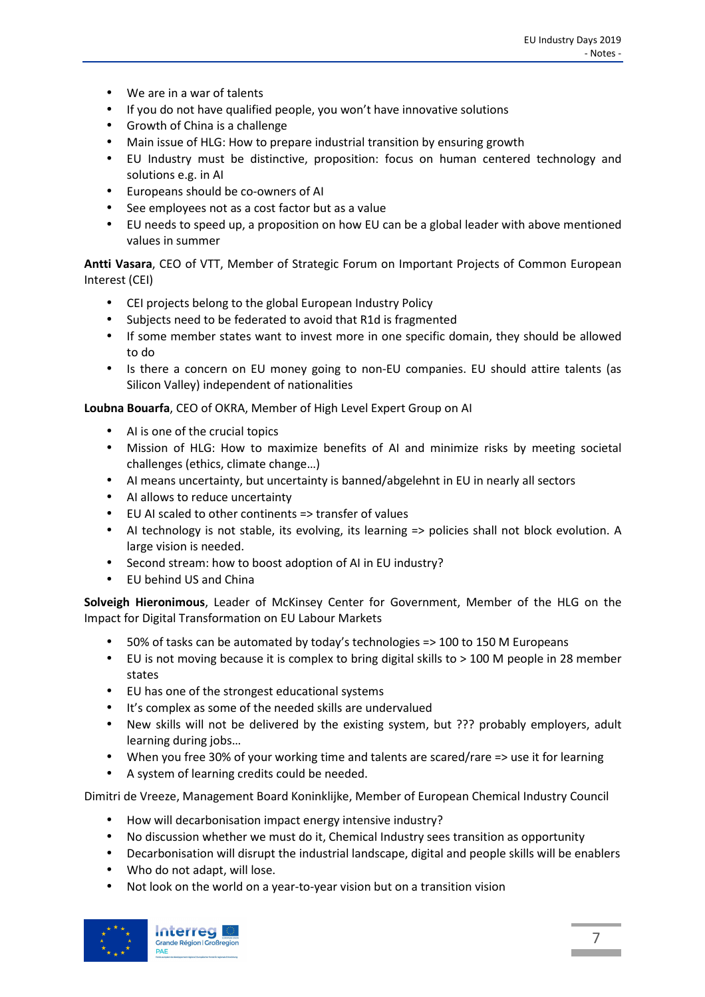- We are in a war of talents
- If you do not have qualified people, you won't have innovative solutions
- Growth of China is a challenge
- Main issue of HLG: How to prepare industrial transition by ensuring growth
- EU Industry must be distinctive, proposition: focus on human centered technology and solutions e.g. in AI
- Europeans should be co-owners of AI
- See employees not as a cost factor but as a value
- EU needs to speed up, a proposition on how EU can be a global leader with above mentioned values in summer

**Antti Vasara**, CEO of VTT, Member of Strategic Forum on Important Projects of Common European Interest (CEI)

- CEI projects belong to the global European Industry Policy
- Subjects need to be federated to avoid that R1d is fragmented
- If some member states want to invest more in one specific domain, they should be allowed to do
- Is there a concern on EU money going to non-EU companies. EU should attire talents (as Silicon Valley) independent of nationalities

**Loubna Bouarfa**, CEO of OKRA, Member of High Level Expert Group on AI

- AI is one of the crucial topics
- Mission of HLG: How to maximize benefits of AI and minimize risks by meeting societal challenges (ethics, climate change…)
- AI means uncertainty, but uncertainty is banned/abgelehnt in EU in nearly all sectors
- AI allows to reduce uncertainty
- EU AI scaled to other continents => transfer of values
- AI technology is not stable, its evolving, its learning => policies shall not block evolution. A large vision is needed.
- Second stream: how to boost adoption of AI in EU industry?
- EU behind US and China

**Solveigh Hieronimous**, Leader of McKinsey Center for Government, Member of the HLG on the Impact for Digital Transformation on EU Labour Markets

- 50% of tasks can be automated by today's technologies => 100 to 150 M Europeans
- EU is not moving because it is complex to bring digital skills to > 100 M people in 28 member states
- EU has one of the strongest educational systems
- It's complex as some of the needed skills are undervalued
- New skills will not be delivered by the existing system, but ??? probably employers, adult learning during jobs…
- When you free 30% of your working time and talents are scared/rare => use it for learning
- A system of learning credits could be needed.

Dimitri de Vreeze, Management Board Koninklijke, Member of European Chemical Industry Council

- How will decarbonisation impact energy intensive industry?
- No discussion whether we must do it, Chemical Industry sees transition as opportunity
- Decarbonisation will disrupt the industrial landscape, digital and people skills will be enablers
- Who do not adapt, will lose.
- Not look on the world on a year-to-year vision but on a transition vision

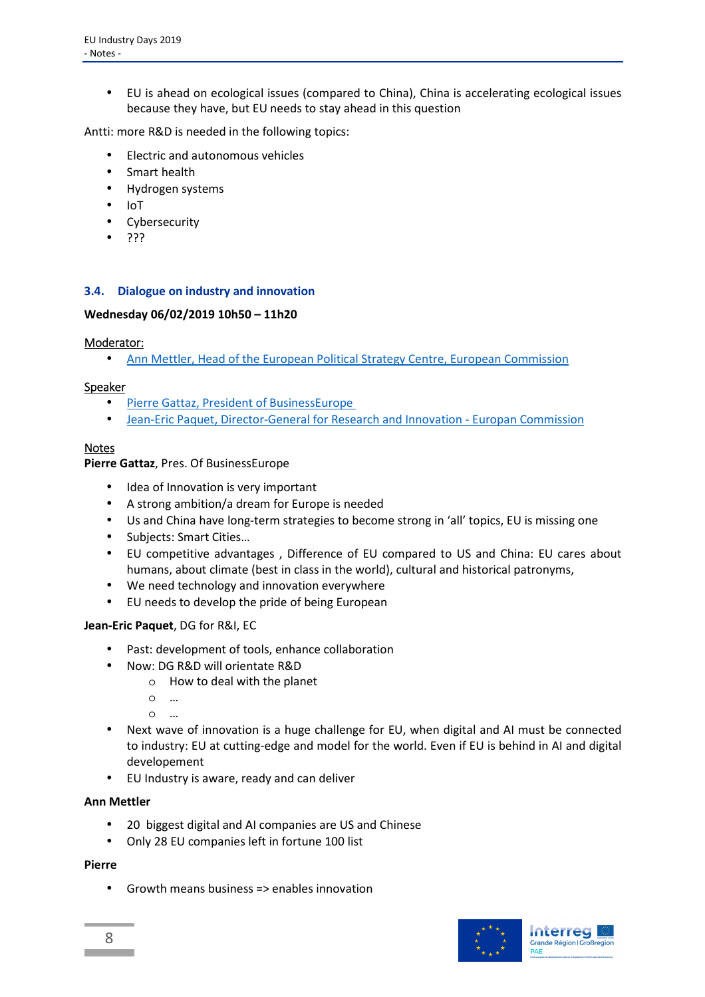• EU is ahead on ecological issues (compared to China), China is accelerating ecological issues because they have, but EU needs to stay ahead in this question

Antti: more R&D is needed in the following topics:

- Electric and autonomous vehicles
- Smart health
- Hydrogen systems
- IoT
- Cybersecurity
- ???

#### **3.4. Dialogue on industry and innovation**

#### **Wednesday 06/02/2019 10h50 – 11h20**

#### Moderator:

• Ann Mettler, Head of the European Political Strategy Centre, European Commission

#### Speaker

- Pierre Gattaz, President of BusinessEurope
- Jean-Eric Paquet, Director-General for Research and Innovation Europan Commission

#### Notes

**Pierre Gattaz**, Pres. Of BusinessEurope

- Idea of Innovation is very important
- A strong ambition/a dream for Europe is needed
- Us and China have long-term strategies to become strong in 'all' topics, EU is missing one
- Subjects: Smart Cities…
- EU competitive advantages , Difference of EU compared to US and China: EU cares about humans, about climate (best in class in the world), cultural and historical patronyms,
- We need technology and innovation everywhere
- EU needs to develop the pride of being European

#### **Jean-Eric Paquet**, DG for R&I, EC

- Past: development of tools, enhance collaboration
- Now: DG R&D will orientate R&D
	- o How to deal with the planet
	- o …
	- $\Omega$
- Next wave of innovation is a huge challenge for EU, when digital and AI must be connected to industry: EU at cutting-edge and model for the world. Even if EU is behind in AI and digital developement
- EU Industry is aware, ready and can deliver

#### **Ann Mettler**

- 20 biggest digital and AI companies are US and Chinese
- Only 28 EU companies left in fortune 100 list

#### **Pierre**

• Growth means business => enables innovation

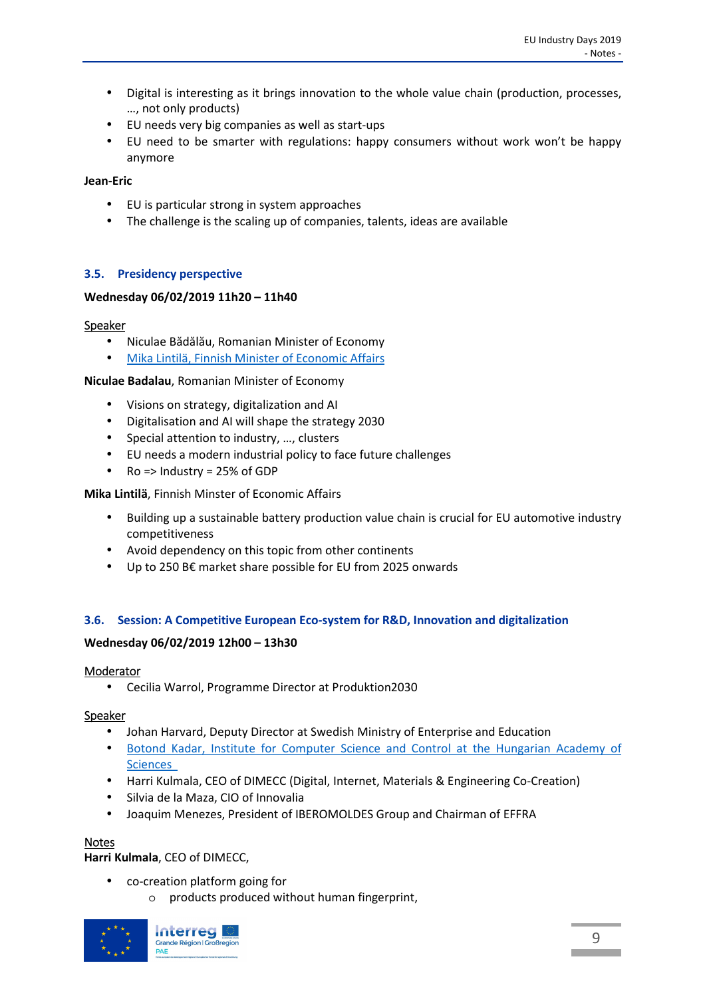- Digital is interesting as it brings innovation to the whole value chain (production, processes, …, not only products)
- EU needs very big companies as well as start-ups
- EU need to be smarter with regulations: happy consumers without work won't be happy anymore

#### **Jean-Eric**

- EU is particular strong in system approaches
- The challenge is the scaling up of companies, talents, ideas are available

#### **3.5. Presidency perspective**

#### **Wednesday 06/02/2019 11h20 – 11h40**

#### Speaker

- Niculae Bădălău, Romanian Minister of Economy
- Mika Lintilä, Finnish Minister of Economic Affairs

#### **Niculae Badalau**, Romanian Minister of Economy

- Visions on strategy, digitalization and AI
- Digitalisation and AI will shape the strategy 2030
- Special attention to industry, …, clusters
- EU needs a modern industrial policy to face future challenges
- Ro => Industry = 25% of GDP

**Mika Lintilä**, Finnish Minster of Economic Affairs

- Building up a sustainable battery production value chain is crucial for EU automotive industry competitiveness
- Avoid dependency on this topic from other continents
- Up to 250 B€ market share possible for EU from 2025 onwards

#### **3.6. Session: A Competitive European Eco-system for R&D, Innovation and digitalization**

#### **Wednesday 06/02/2019 12h00 – 13h30**

#### Moderator

• Cecilia Warrol, Programme Director at Produktion2030

#### Speaker

- Johan Harvard, Deputy Director at Swedish Ministry of Enterprise and Education
- Botond Kadar, Institute for Computer Science and Control at the Hungarian Academy of Sciences
- Harri Kulmala, CEO of DIMECC (Digital, Internet, Materials & Engineering Co-Creation)
- Silvia de la Maza, CIO of Innovalia
- Joaquim Menezes, President of IBEROMOLDES Group and Chairman of EFFRA

#### Notes

**Harri Kulmala**, CEO of DIMECC,

- co-creation platform going for
	- o products produced without human fingerprint,